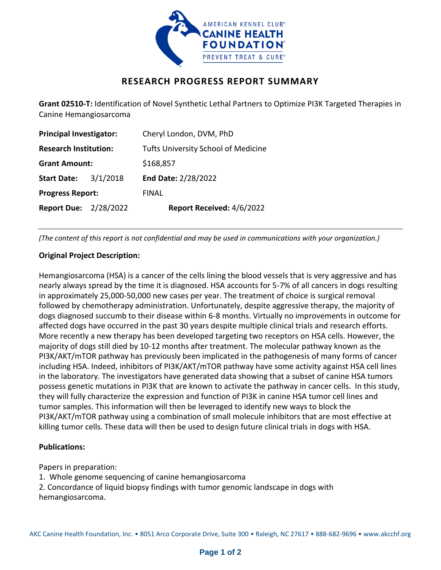

# **RESEARCH PROGRESS REPORT SUMMARY**

**Grant 02510-T:** Identification of Novel Synthetic Lethal Partners to Optimize PI3K Targeted Therapies in Canine Hemangiosarcoma

| <b>Principal Investigator:</b> |          | Cheryl London, DVM, PhD                    |
|--------------------------------|----------|--------------------------------------------|
| <b>Research Institution:</b>   |          | <b>Tufts University School of Medicine</b> |
| <b>Grant Amount:</b>           |          | \$168,857                                  |
| <b>Start Date:</b>             | 3/1/2018 | End Date: 2/28/2022                        |
| <b>Progress Report:</b>        |          | FINAL                                      |
| <b>Report Due: 2/28/2022</b>   |          | Report Received: 4/6/2022                  |

*(The content of this report is not confidential and may be used in communications with your organization.)*

## **Original Project Description:**

Hemangiosarcoma (HSA) is a cancer of the cells lining the blood vessels that is very aggressive and has nearly always spread by the time it is diagnosed. HSA accounts for 5-7% of all cancers in dogs resulting in approximately 25,000-50,000 new cases per year. The treatment of choice is surgical removal followed by chemotherapy administration. Unfortunately, despite aggressive therapy, the majority of dogs diagnosed succumb to their disease within 6-8 months. Virtually no improvements in outcome for affected dogs have occurred in the past 30 years despite multiple clinical trials and research efforts. More recently a new therapy has been developed targeting two receptors on HSA cells. However, the majority of dogs still died by 10-12 months after treatment. The molecular pathway known as the PI3K/AKT/mTOR pathway has previously been implicated in the pathogenesis of many forms of cancer including HSA. Indeed, inhibitors of PI3K/AKT/mTOR pathway have some activity against HSA cell lines in the laboratory. The investigators have generated data showing that a subset of canine HSA tumors possess genetic mutations in PI3K that are known to activate the pathway in cancer cells. In this study, they will fully characterize the expression and function of PI3K in canine HSA tumor cell lines and tumor samples. This information will then be leveraged to identify new ways to block the PI3K/AKT/mTOR pathway using a combination of small molecule inhibitors that are most effective at killing tumor cells. These data will then be used to design future clinical trials in dogs with HSA.

## **Publications:**

Papers in preparation:

- 1. Whole genome sequencing of canine hemangiosarcoma
- 2. Concordance of liquid biopsy findings with tumor genomic landscape in dogs with hemangiosarcoma.